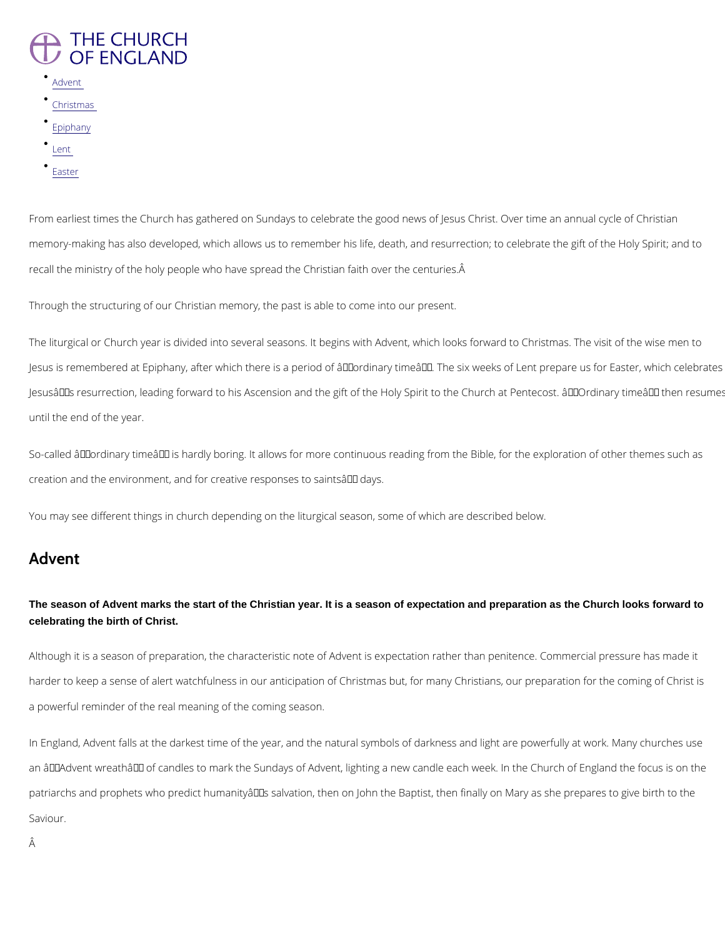# **THE CHURCH** OF ENGLAND

- [Adve](/node/157/printable/bbd_pdf_format#advent-)nt
- [Christm](/node/157/printable/bbd_pdf_format#christmas-)as
- [Epiph](/node/157/printable/bbd_pdf_format#epiphany)any
- [Len](/node/157/printable/bbd_pdf_format#lent-)t
- [Eas](/node/157/printable/bbd_pdf_format#easter)ter

From earliest times the Church has gathered on Sundays to celebrate the good news of Jesus memory-making has also developed, which allows us to remember his life, death, and resurre recall the ministry of the holy people who have spread the Christian faith over the centuries.

Through the structuring of our Christian memory, the past is able to come into our present.

The liturgical or Church year is divided into several seasons. It begins with Advent, which lo Jesus is remembered at Epiphany, after which there is a period of  $\hat{\mathsf{a}} \in \tilde{\mathsf{a}}$  ordinary time $\hat{\mathsf{a}} \in \mathbb{M}$ . The Jesus $\hat{a} \in \mathbb{T}^M$ s resurrection, leading forward to his Ascension and the gift of the Holy Spirit to t until the end of the year.

So-called  $\hat{\mathbf{a}} \in \tilde{\mathbf{a}}$  ordinary time $\hat{\mathbf{a}} \in \mathbb{M}$  is hardly boring. It allows for more continuous reading from t creation and the environment, and for creative responses to saints  $\hat{a} \in \text{TM}$  days.

You may see different things in church depending on the liturgical season, some of which are

an â€~Advent wreath' of candles to mark the Sundays of Advent, lighting a new candle ea patriarchs and prophets who predict humanity $\hat{\mathbf{a}} \in \mathbb{M}$ s salvation, then on John the Baptist, then Saviour.

Â

### Advent

The season of Advent marks the start of the Christian year. It is a season of expectation and preparation as the Church looks forward to celebrating the birth of Christ.

Although it is a season of preparation, the characteristic note of Advent is expectation rathe harder to keep a sense of alert watchfulness in our anticipation of Christmas but, for many C

a powerful reminder of the real meaning of the coming season.

In England, Advent falls at the darkest time of the year, and the natural symbols of darkness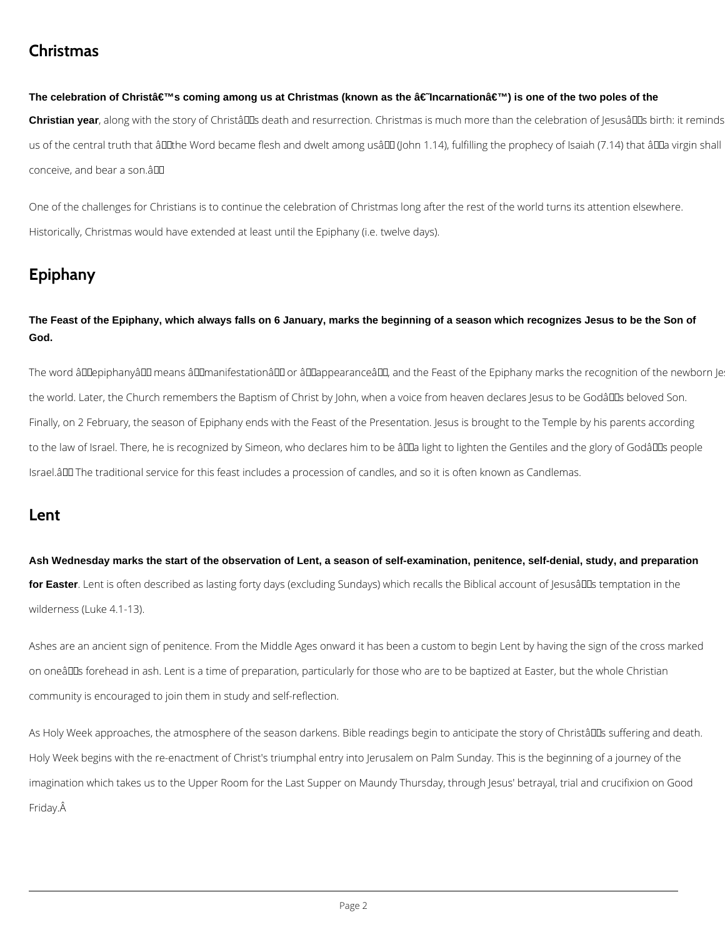## **Christmas**

#### The celebration of Christâ€<sup>™</sup>s coming among us at Christmas (known as the †Incarnation') is one of the two poles of the

Christian year, along with the story of Christâlles death and resurrection. Christmas is much more than the celebration of Jesusâlles birth: it reminds us of the central truth that ând the Word became flesh and dwelt among usând (John 1.14), fulfilling the prophecy of Isaiah (7.14) that ând virgin shall conceive, and bear a son.â

One of the challenges for Christians is to continue the celebration of Christmas long after the rest of the world turns its attention elsewhere. Historically, Christmas would have extended at least until the Epiphany (i.e. twelve days).

# **Epiphany**

The word âll lepiphanyâ l means â l l manifestationâ l l or âl lappearance â l l, and the Feast of the Epiphany marks the recognition of the newborn Je the world. Later, the Church remembers the Baptism of Christ by John, when a voice from heaven declares Jesus to be Godâllas beloved Son. Finally, on 2 February, the season of Epiphany ends with the Feast of the Presentation. Jesus is brought to the Temple by his parents according to the law of Israel. There, he is recognized by Simeon, who declares him to be âQQa light to lighten the Gentiles and the glory of GodâQQs people Israel.â The traditional service for this feast includes a procession of candles, and so it is often known as Candlemas.

**The Feast of the Epiphany, which always falls on 6 January, marks the beginning of a season which recognizes Jesus to be the Son of God.**

### **Lent**

**Ash Wednesday marks the start of the observation of Lent, a season of self-examination, penitence, self-denial, study, and preparation**  for Easter. Lent is often described as lasting forty days (excluding Sundays) which recalls the Biblical account of Jesusa<sup>nd</sup>s temptation in the wilderness (Luke 4.1-13).

Ashes are an ancient sign of penitence. From the Middle Ages onward it has been a custom to begin Lent by having the sign of the cross marked on oneâll Is forehead in ash. Lent is a time of preparation, particularly for those who are to be baptized at Easter, but the whole Christian community is encouraged to join them in study and self-reflection.

As Holy Week approaches, the atmosphere of the season darkens. Bible readings begin to anticipate the story of Christâllas suffering and death.

Holy Week begins with the re-enactment of Christ's triumphal entry into Jerusalem on Palm Sunday. This is the beginning of a journey of the

imagination which takes us to the Upper Room for the Last Supper on Maundy Thursday, through Jesus' betrayal, trial and crucifixion on Good

#### Friday.